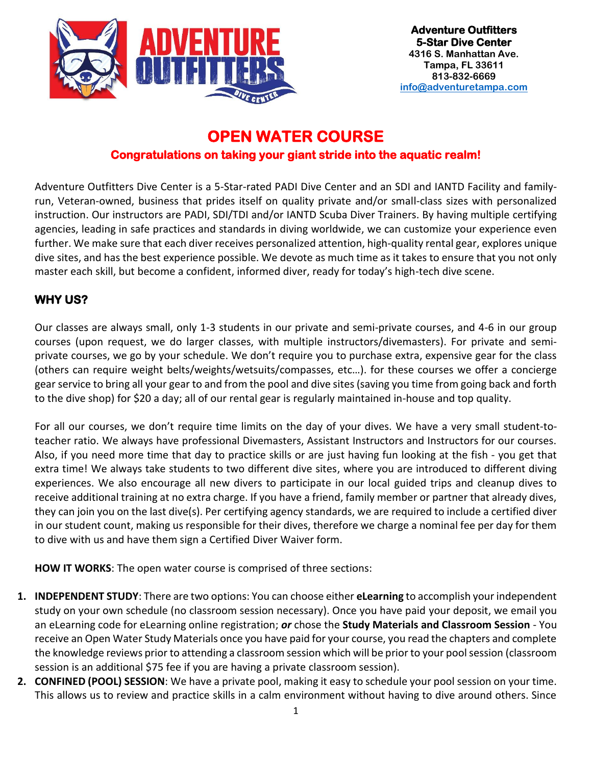

# **OPEN WATER COURSE**

### **Congratulations on taking your giant stride into the aquatic realm!**

Adventure Outfitters Dive Center is a 5-Star-rated PADI Dive Center and an SDI and IANTD Facility and familyrun, Veteran-owned, business that prides itself on quality private and/or small-class sizes with personalized instruction. Our instructors are PADI, SDI/TDI and/or IANTD Scuba Diver Trainers. By having multiple certifying agencies, leading in safe practices and standards in diving worldwide, we can customize your experience even further. We make sure that each diver receives personalized attention, high-quality rental gear, explores unique dive sites, and has the best experience possible. We devote as much time as it takes to ensure that you not only master each skill, but become a confident, informed diver, ready for today's high-tech dive scene.

## **WHY US?**

Our classes are always small, only 1-3 students in our private and semi-private courses, and 4-6 in our group courses (upon request, we do larger classes, with multiple instructors/divemasters). For private and semiprivate courses, we go by your schedule. We don't require you to purchase extra, expensive gear for the class (others can require weight belts/weights/wetsuits/compasses, etc…). for these courses we offer a concierge gear service to bring all your gear to and from the pool and dive sites (saving you time from going back and forth to the dive shop) for \$20 a day; all of our rental gear is regularly maintained in-house and top quality.

For all our courses, we don't require time limits on the day of your dives. We have a very small student-toteacher ratio. We always have professional Divemasters, Assistant Instructors and Instructors for our courses. Also, if you need more time that day to practice skills or are just having fun looking at the fish - you get that extra time! We always take students to two different dive sites, where you are introduced to different diving experiences. We also encourage all new divers to participate in our local guided trips and cleanup dives to receive additional training at no extra charge. If you have a friend, family member or partner that already dives, they can join you on the last dive(s). Per certifying agency standards, we are required to include a certified diver in our student count, making us responsible for their dives, therefore we charge a nominal fee per day for them to dive with us and have them sign a Certified Diver Waiver form.

**HOW IT WORKS**: The open water course is comprised of three sections:

- **1. INDEPENDENT STUDY**: There are two options: You can choose either **eLearning** to accomplish your independent study on your own schedule (no classroom session necessary). Once you have paid your deposit, we email you an eLearning code for eLearning online registration; *or* chose the **Study Materials and Classroom Session** - You receive an Open Water Study Materials once you have paid for your course, you read the chapters and complete the knowledge reviews prior to attending a classroom session which will be prior to your pool session (classroom session is an additional \$75 fee if you are having a private classroom session).
- **2. CONFINED (POOL) SESSION**: We have a private pool, making it easy to schedule your pool session on your time. This allows us to review and practice skills in a calm environment without having to dive around others. Since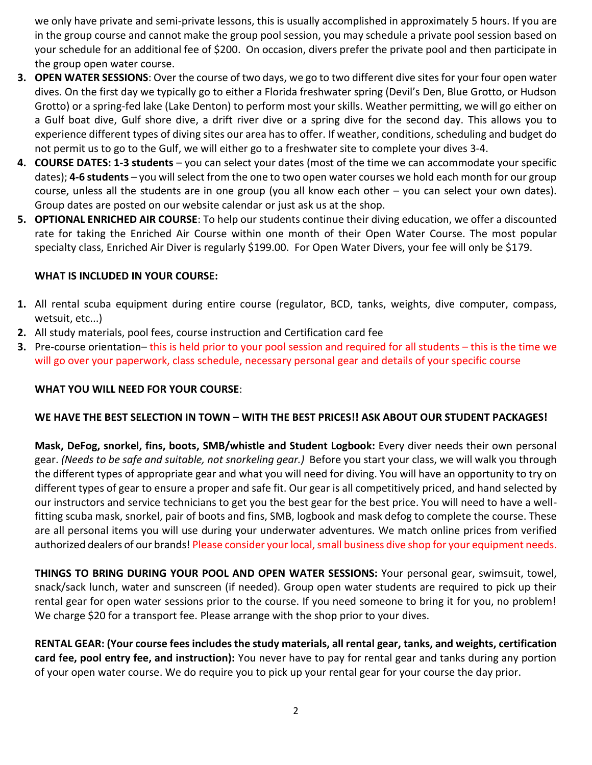we only have private and semi-private lessons, this is usually accomplished in approximately 5 hours. If you are in the group course and cannot make the group pool session, you may schedule a private pool session based on your schedule for an additional fee of \$200. On occasion, divers prefer the private pool and then participate in the group open water course.

- **3. OPEN WATER SESSIONS**: Over the course of two days, we go to two different dive sites for your four open water dives. On the first day we typically go to either a Florida freshwater spring (Devil's Den, Blue Grotto, or Hudson Grotto) or a spring-fed lake (Lake Denton) to perform most your skills. Weather permitting, we will go either on a Gulf boat dive, Gulf shore dive, a drift river dive or a spring dive for the second day. This allows you to experience different types of diving sites our area has to offer. If weather, conditions, scheduling and budget do not permit us to go to the Gulf, we will either go to a freshwater site to complete your dives 3-4.
- **4. COURSE DATES: 1-3 students** you can select your dates (most of the time we can accommodate your specific dates); **4-6 students** – you will select from the one to two open water courses we hold each month for our group course, unless all the students are in one group (you all know each other – you can select your own dates). Group dates are posted on our website calendar or just ask us at the shop.
- **5. OPTIONAL ENRICHED AIR COURSE**: To help our students continue their diving education, we offer a discounted rate for taking the Enriched Air Course within one month of their Open Water Course. The most popular specialty class, Enriched Air Diver is regularly \$199.00. For Open Water Divers, your fee will only be \$179.

#### **WHAT IS INCLUDED IN YOUR COURSE:**

- **1.** All rental scuba equipment during entire course (regulator, BCD, tanks, weights, dive computer, compass, wetsuit, etc...)
- **2.** All study materials, pool fees, course instruction and Certification card fee
- **3.** Pre-course orientation– this is held prior to your pool session and required for all students this is the time we will go over your paperwork, class schedule, necessary personal gear and details of your specific course

#### **WHAT YOU WILL NEED FOR YOUR COURSE**:

#### **WE HAVE THE BEST SELECTION IN TOWN – WITH THE BEST PRICES!! ASK ABOUT OUR STUDENT PACKAGES!**

**Mask, DeFog, snorkel, fins, boots, SMB/whistle and Student Logbook:** Every diver needs their own personal gear. *(Needs to be safe and suitable, not snorkeling gear.)* Before you start your class, we will walk you through the different types of appropriate gear and what you will need for diving. You will have an opportunity to try on different types of gear to ensure a proper and safe fit. Our gear is all competitively priced, and hand selected by our instructors and service technicians to get you the best gear for the best price. You will need to have a wellfitting scuba mask, snorkel, pair of boots and fins, SMB, logbook and mask defog to complete the course. These are all personal items you will use during your underwater adventures. We match online prices from verified authorized dealers of our brands! Please consider your local, small business dive shop for your equipment needs.

**THINGS TO BRING DURING YOUR POOL AND OPEN WATER SESSIONS:** Your personal gear, swimsuit, towel, snack/sack lunch, water and sunscreen (if needed). Group open water students are required to pick up their rental gear for open water sessions prior to the course. If you need someone to bring it for you, no problem! We charge \$20 for a transport fee. Please arrange with the shop prior to your dives.

**RENTAL GEAR: (Your course fees includes the study materials, all rental gear, tanks, and weights, certification card fee, pool entry fee, and instruction):** You never have to pay for rental gear and tanks during any portion of your open water course. We do require you to pick up your rental gear for your course the day prior.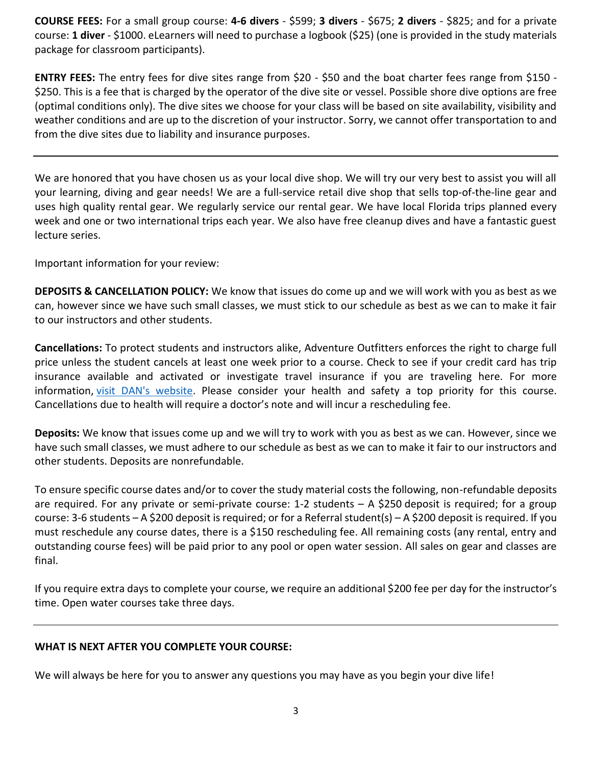**COURSE FEES:** For a small group course: **4-6 divers** - \$599; **3 divers** - \$675; **2 divers** - \$825; and for a private course: **1 diver** - \$1000. eLearners will need to purchase a logbook (\$25) (one is provided in the study materials package for classroom participants).

**ENTRY FEES:** The entry fees for dive sites range from \$20 - \$50 and the boat charter fees range from \$150 - \$250. This is a fee that is charged by the operator of the dive site or vessel. Possible shore dive options are free (optimal conditions only). The dive sites we choose for your class will be based on site availability, visibility and weather conditions and are up to the discretion of your instructor. Sorry, we cannot offer transportation to and from the dive sites due to liability and insurance purposes.

We are honored that you have chosen us as your local dive shop. We will try our very best to assist you will all your learning, diving and gear needs! We are a full-service retail dive shop that sells top-of-the-line gear and uses high quality rental gear. We regularly service our rental gear. We have local Florida trips planned every week and one or two international trips each year. We also have free cleanup dives and have a fantastic guest lecture series.

Important information for your review:

**DEPOSITS & CANCELLATION POLICY:** We know that issues do come up and we will work with you as best as we can, however since we have such small classes, we must stick to our schedule as best as we can to make it fair to our instructors and other students.

**Cancellations:** To protect students and instructors alike, Adventure Outfitters enforces the right to charge full price unless the student cancels at least one week prior to a course. Check to see if your credit card has trip insurance available and activated or investigate travel insurance if you are traveling here. For more information, [visit DAN's website.](https://www.diversalertnetwork.org/travel/) Please consider your health and safety a top priority for this course. Cancellations due to health will require a doctor's note and will incur a rescheduling fee.

**Deposits:** We know that issues come up and we will try to work with you as best as we can. However, since we have such small classes, we must adhere to our schedule as best as we can to make it fair to our instructors and other students. Deposits are nonrefundable.

To ensure specific course dates and/or to cover the study material costs the following, non-refundable deposits are required. For any private or semi-private course: 1-2 students – A \$250 deposit is required; for a group course: 3-6 students – A \$200 deposit is required; or for a Referral student(s) – A \$200 deposit is required. If you must reschedule any course dates, there is a \$150 rescheduling fee. All remaining costs (any rental, entry and outstanding course fees) will be paid prior to any pool or open water session. All sales on gear and classes are final.

If you require extra days to complete your course, we require an additional \$200 fee per day for the instructor's time. Open water courses take three days.

#### **WHAT IS NEXT AFTER YOU COMPLETE YOUR COURSE:**

We will always be here for you to answer any questions you may have as you begin your dive life!